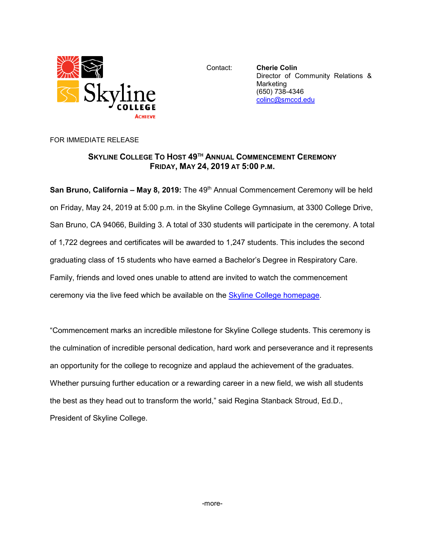

Contact: **Cherie Colin** Director of Community Relations & Marketing (650) 738-4346 [colinc@smccd.edu](mailto:colinc@smccd.edu)

FOR IMMEDIATE RELEASE

## **SKYLINE COLLEGE TO HOST 49TH ANNUAL COMMENCEMENT CEREMONY FRIDAY, MAY 24, 2019 AT 5:00 P.M.**

**San Bruno, California – May 8, 2019:** The 49<sup>th</sup> Annual Commencement Ceremony will be held on Friday, May 24, 2019 at 5:00 p.m. in the Skyline College Gymnasium, at 3300 College Drive, San Bruno, CA 94066, Building 3. A total of 330 students will participate in the ceremony. A total of 1,722 degrees and certificates will be awarded to 1,247 students. This includes the second graduating class of 15 students who have earned a Bachelor's Degree in Respiratory Care. Family, friends and loved ones unable to attend are invited to watch the commencement ceremony via the live feed which be available on the [Skyline College homepage.](http://www.skylinecollege.edu/)

"Commencement marks an incredible milestone for Skyline College students. This ceremony is the culmination of incredible personal dedication, hard work and perseverance and it represents an opportunity for the college to recognize and applaud the achievement of the graduates. Whether pursuing further education or a rewarding career in a new field, we wish all students the best as they head out to transform the world," said Regina Stanback Stroud, Ed.D., President of Skyline College.